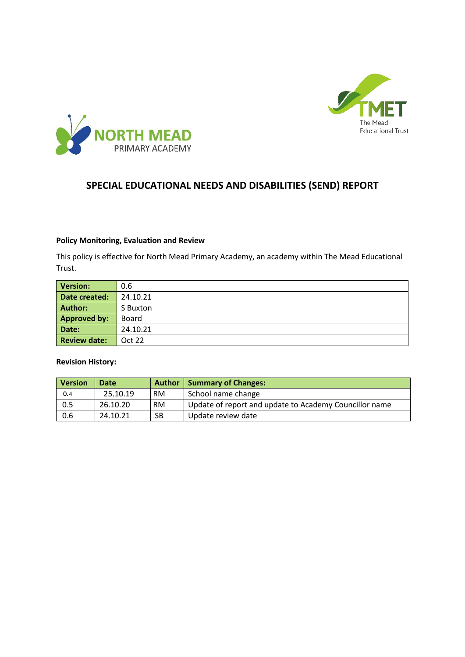



# **SPECIAL EDUCATIONAL NEEDS AND DISABILITIES (SEND) REPORT**

#### **Policy Monitoring, Evaluation and Review**

This policy is effective for North Mead Primary Academy, an academy within The Mead Educational Trust.

| <b>Version:</b>     | 0.6      |
|---------------------|----------|
| Date created:       | 24.10.21 |
| <b>Author:</b>      | S Buxton |
| <b>Approved by:</b> | Board    |
| Date:               | 24.10.21 |
| <b>Review date:</b> | Oct 22   |

#### **Revision History:**

| <b>Version</b> | Date     | <b>Author</b> | Summary of Changes:                                    |
|----------------|----------|---------------|--------------------------------------------------------|
| 0.4            | 25.10.19 | RM.           | School name change                                     |
| 0.5            | 26.10.20 | RM.           | Update of report and update to Academy Councillor name |
| 0.6            | 24.10.21 | SB            | Update review date                                     |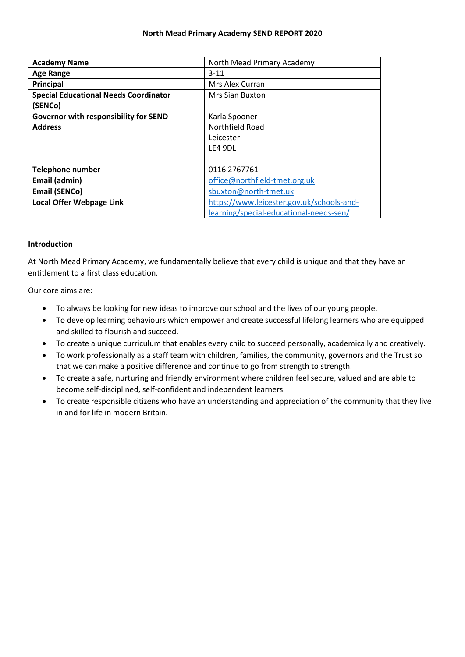#### **North Mead Primary Academy SEND REPORT 2020**

| <b>Academy Name</b>                          | North Mead Primary Academy                |
|----------------------------------------------|-------------------------------------------|
| <b>Age Range</b>                             | $3 - 11$                                  |
| Principal                                    | Mrs Alex Curran                           |
| <b>Special Educational Needs Coordinator</b> | Mrs Sian Buxton                           |
| (SENCo)                                      |                                           |
| Governor with responsibility for SEND        | Karla Spooner                             |
| <b>Address</b>                               | Northfield Road                           |
|                                              | Leicester                                 |
|                                              | LE4 9DL                                   |
|                                              |                                           |
| <b>Telephone number</b>                      | 0116 2767761                              |
| Email (admin)                                | office@northfield-tmet.org.uk             |
| <b>Email (SENCo)</b>                         | sbuxton@north-tmet.uk                     |
| <b>Local Offer Webpage Link</b>              | https://www.leicester.gov.uk/schools-and- |
|                                              | learning/special-educational-needs-sen/   |

#### **Introduction**

At North Mead Primary Academy, we fundamentally believe that every child is unique and that they have an entitlement to a first class education.

Our core aims are:

- To always be looking for new ideas to improve our school and the lives of our young people.
- To develop learning behaviours which empower and create successful lifelong learners who are equipped and skilled to flourish and succeed.
- To create a unique curriculum that enables every child to succeed personally, academically and creatively.
- To work professionally as a staff team with children, families, the community, governors and the Trust so that we can make a positive difference and continue to go from strength to strength.
- To create a safe, nurturing and friendly environment where children feel secure, valued and are able to become self-disciplined, self-confident and independent learners.
- To create responsible citizens who have an understanding and appreciation of the community that they live in and for life in modern Britain.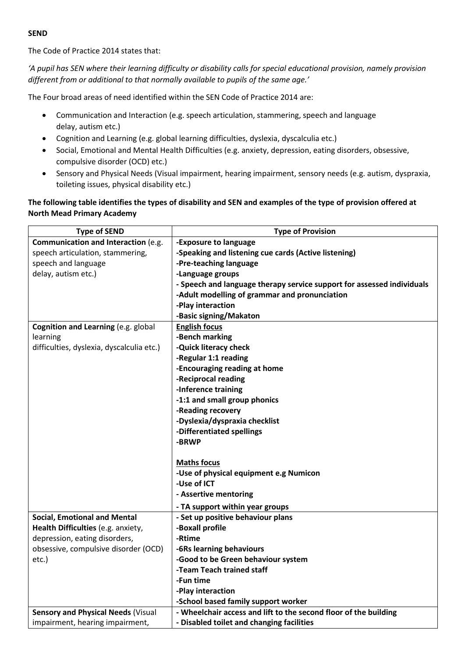#### **SEND**

The Code of Practice 2014 states that:

*'A pupil has SEN where their learning difficulty or disability calls for special educational provision, namely provision different from or additional to that normally available to pupils of the same age.'*

The Four broad areas of need identified within the SEN Code of Practice 2014 are:

- Communication and Interaction (e.g. speech articulation, stammering, speech and language delay, autism etc.)
- Cognition and Learning (e.g. global learning difficulties, dyslexia, dyscalculia etc.)
- Social, Emotional and Mental Health Difficulties (e.g. anxiety, depression, eating disorders, obsessive, compulsive disorder (OCD) etc.)
- Sensory and Physical Needs (Visual impairment, hearing impairment, sensory needs (e.g. autism, dyspraxia, toileting issues, physical disability etc.)

## **The following table identifies the types of disability and SEN and examples of the type of provision offered at North Mead Primary Academy**

| <b>Type of SEND</b>                       | <b>Type of Provision</b>                                               |
|-------------------------------------------|------------------------------------------------------------------------|
| Communication and Interaction (e.g.       | -Exposure to language                                                  |
| speech articulation, stammering,          | -Speaking and listening cue cards (Active listening)                   |
| speech and language                       | -Pre-teaching language                                                 |
| delay, autism etc.)                       | -Language groups                                                       |
|                                           | - Speech and language therapy service support for assessed individuals |
|                                           | -Adult modelling of grammar and pronunciation                          |
|                                           | -Play interaction                                                      |
|                                           | -Basic signing/Makaton                                                 |
| Cognition and Learning (e.g. global       | <b>English focus</b>                                                   |
| learning                                  | -Bench marking                                                         |
| difficulties, dyslexia, dyscalculia etc.) | -Quick literacy check                                                  |
|                                           | -Regular 1:1 reading                                                   |
|                                           | -Encouraging reading at home                                           |
|                                           | -Reciprocal reading                                                    |
|                                           | -Inference training                                                    |
|                                           | -1:1 and small group phonics                                           |
|                                           | -Reading recovery                                                      |
|                                           | -Dyslexia/dyspraxia checklist                                          |
|                                           | -Differentiated spellings                                              |
|                                           | -BRWP                                                                  |
|                                           |                                                                        |
|                                           | <b>Maths focus</b>                                                     |
|                                           | -Use of physical equipment e.g Numicon                                 |
|                                           | -Use of ICT                                                            |
|                                           | - Assertive mentoring                                                  |
|                                           | - TA support within year groups                                        |
| <b>Social, Emotional and Mental</b>       | - Set up positive behaviour plans                                      |
| Health Difficulties (e.g. anxiety,        | -Boxall profile                                                        |
| depression, eating disorders,             | -Rtime                                                                 |
| obsessive, compulsive disorder (OCD)      | -6Rs learning behaviours                                               |
| etc.)                                     | -Good to be Green behaviour system                                     |
|                                           | -Team Teach trained staff                                              |
|                                           | -Fun time                                                              |
|                                           | -Play interaction                                                      |
|                                           | -School based family support worker                                    |
| <b>Sensory and Physical Needs (Visual</b> | - Wheelchair access and lift to the second floor of the building       |
| impairment, hearing impairment,           | - Disabled toilet and changing facilities                              |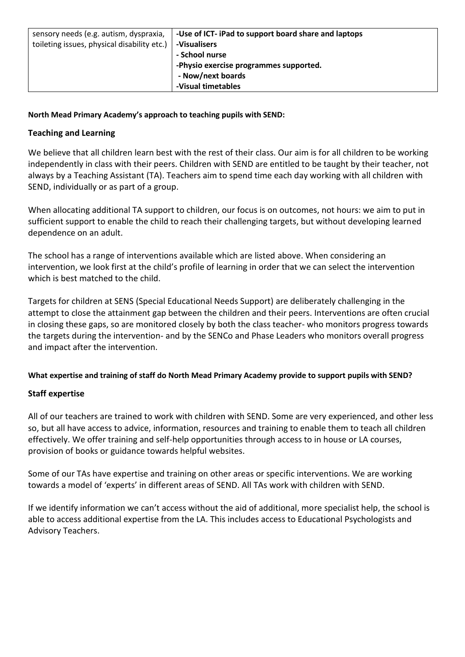| sensory needs (e.g. autism, dyspraxia,      | -Use of ICT- iPad to support board share and laptops |
|---------------------------------------------|------------------------------------------------------|
| toileting issues, physical disability etc.) | -Visualisers                                         |
|                                             | - School nurse                                       |
|                                             | -Physio exercise programmes supported.               |
|                                             | - Now/next boards                                    |
|                                             | -Visual timetables                                   |

## **North Mead Primary Academy's approach to teaching pupils with SEND:**

## **Teaching and Learning**

We believe that all children learn best with the rest of their class. Our aim is for all children to be working independently in class with their peers. Children with SEND are entitled to be taught by their teacher, not always by a Teaching Assistant (TA). Teachers aim to spend time each day working with all children with SEND, individually or as part of a group.

When allocating additional TA support to children, our focus is on outcomes, not hours: we aim to put in sufficient support to enable the child to reach their challenging targets, but without developing learned dependence on an adult.

The school has a range of interventions available which are listed above. When considering an intervention, we look first at the child's profile of learning in order that we can select the intervention which is best matched to the child.

Targets for children at SENS (Special Educational Needs Support) are deliberately challenging in the attempt to close the attainment gap between the children and their peers. Interventions are often crucial in closing these gaps, so are monitored closely by both the class teacher- who monitors progress towards the targets during the intervention- and by the SENCo and Phase Leaders who monitors overall progress and impact after the intervention.

### **What expertise and training of staff do North Mead Primary Academy provide to support pupils with SEND?**

# **Staff expertise**

All of our teachers are trained to work with children with SEND. Some are very experienced, and other less so, but all have access to advice, information, resources and training to enable them to teach all children effectively. We offer training and self-help opportunities through access to in house or LA courses, provision of books or guidance towards helpful websites.

Some of our TAs have expertise and training on other areas or specific interventions. We are working towards a model of 'experts' in different areas of SEND. All TAs work with children with SEND.

If we identify information we can't access without the aid of additional, more specialist help, the school is able to access additional expertise from the LA. This includes access to Educational Psychologists and Advisory Teachers.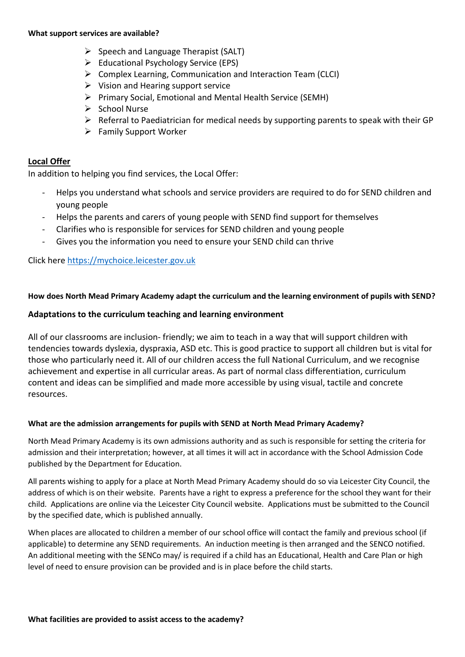#### **What support services are available?**

- $\triangleright$  Speech and Language Therapist (SALT)
- ➢ Educational Psychology Service (EPS)
- ➢ Complex Learning, Communication and Interaction Team (CLCI)
- $\triangleright$  Vision and Hearing support service
- ➢ Primary Social, Emotional and Mental Health Service (SEMH)
- ➢ School Nurse
- $\triangleright$  Referral to Paediatrician for medical needs by supporting parents to speak with their GP
- ➢ Family Support Worker

#### **Local Offer**

In addition to helping you find services, the Local Offer:

- Helps you understand what schools and service providers are required to do for SEND children and young people
- Helps the parents and carers of young people with SEND find support for themselves
- Clarifies who is responsible for services for SEND children and young people
- Gives you the information you need to ensure your SEND child can thrive

Click here [https://mychoice.leicester.gov.uk](https://mychoice.leicester.gov.uk/)

#### **How does North Mead Primary Academy adapt the curriculum and the learning environment of pupils with SEND?**

### **Adaptations to the curriculum teaching and learning environment**

All of our classrooms are inclusion- friendly; we aim to teach in a way that will support children with tendencies towards dyslexia, dyspraxia, ASD etc. This is good practice to support all children but is vital for those who particularly need it. All of our children access the full National Curriculum, and we recognise achievement and expertise in all curricular areas. As part of normal class differentiation, curriculum content and ideas can be simplified and made more accessible by using visual, tactile and concrete resources.

#### **What are the admission arrangements for pupils with SEND at North Mead Primary Academy?**

North Mead Primary Academy is its own admissions authority and as such is responsible for setting the criteria for admission and their interpretation; however, at all times it will act in accordance with the School Admission Code published by the Department for Education.

All parents wishing to apply for a place at North Mead Primary Academy should do so via Leicester City Council, the address of which is on their website. Parents have a right to express a preference for the school they want for their child. Applications are online via the Leicester City Council website. Applications must be submitted to the Council by the specified date, which is published annually.

When places are allocated to children a member of our school office will contact the family and previous school (if applicable) to determine any SEND requirements. An induction meeting is then arranged and the SENCO notified. An additional meeting with the SENCo may/ is required if a child has an Educational, Health and Care Plan or high level of need to ensure provision can be provided and is in place before the child starts.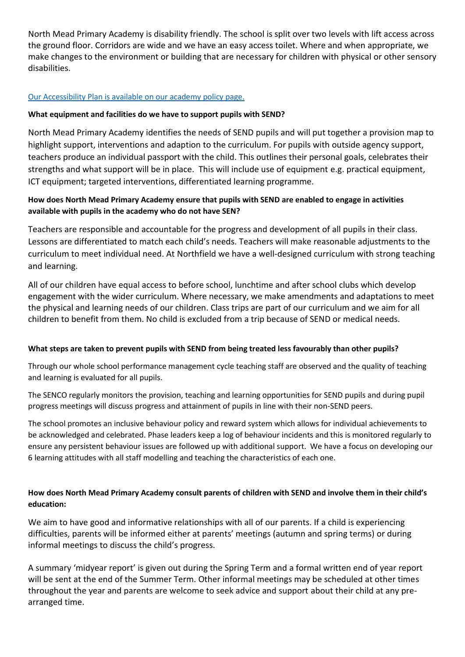North Mead Primary Academy is disability friendly. The school is split over two levels with lift access across the ground floor. Corridors are wide and we have an easy access toilet. Where and when appropriate, we make changes to the environment or building that are necessary for children with physical or other sensory disabilities.

### [Our Accessibility Plan is available on our academy policy page.](http://www.northfield-rmet.org.uk/wp-content/uploads/2016/10/Accessibility-Plan-2016-2017.pdf)

### **What equipment and facilities do we have to support pupils with SEND?**

North Mead Primary Academy identifies the needs of SEND pupils and will put together a provision map to highlight support, interventions and adaption to the curriculum. For pupils with outside agency support, teachers produce an individual passport with the child. This outlines their personal goals, celebrates their strengths and what support will be in place. This will include use of equipment e.g. practical equipment, ICT equipment; targeted interventions, differentiated learning programme.

# **How does North Mead Primary Academy ensure that pupils with SEND are enabled to engage in activities available with pupils in the academy who do not have SEN?**

Teachers are responsible and accountable for the progress and development of all pupils in their class. Lessons are differentiated to match each child's needs. Teachers will make reasonable adjustments to the curriculum to meet individual need. At Northfield we have a well-designed curriculum with strong teaching and learning.

All of our children have equal access to before school, lunchtime and after school clubs which develop engagement with the wider curriculum. Where necessary, we make amendments and adaptations to meet the physical and learning needs of our children. Class trips are part of our curriculum and we aim for all children to benefit from them. No child is excluded from a trip because of SEND or medical needs.

### **What steps are taken to prevent pupils with SEND from being treated less favourably than other pupils?**

Through our whole school performance management cycle teaching staff are observed and the quality of teaching and learning is evaluated for all pupils.

The SENCO regularly monitors the provision, teaching and learning opportunities for SEND pupils and during pupil progress meetings will discuss progress and attainment of pupils in line with their non-SEND peers.

The school promotes an inclusive behaviour policy and reward system which allows for individual achievements to be acknowledged and celebrated. Phase leaders keep a log of behaviour incidents and this is monitored regularly to ensure any persistent behaviour issues are followed up with additional support. We have a focus on developing our 6 learning attitudes with all staff modelling and teaching the characteristics of each one.

# **How does North Mead Primary Academy consult parents of children with SEND and involve them in their child's education:**

We aim to have good and informative relationships with all of our parents. If a child is experiencing difficulties, parents will be informed either at parents' meetings (autumn and spring terms) or during informal meetings to discuss the child's progress.

A summary 'midyear report' is given out during the Spring Term and a formal written end of year report will be sent at the end of the Summer Term. Other informal meetings may be scheduled at other times throughout the year and parents are welcome to seek advice and support about their child at any prearranged time.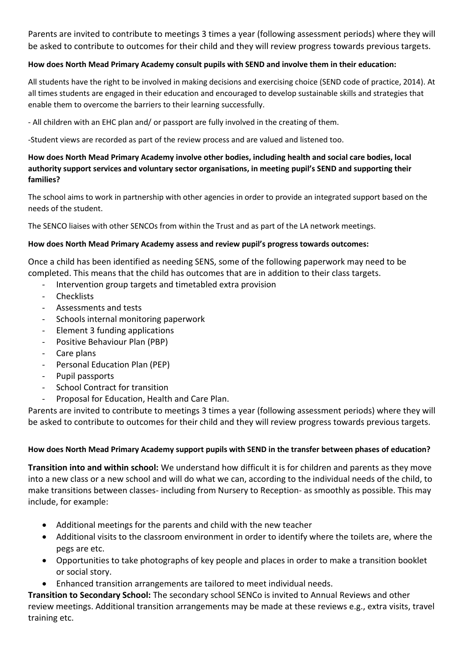Parents are invited to contribute to meetings 3 times a year (following assessment periods) where they will be asked to contribute to outcomes for their child and they will review progress towards previous targets.

# **How does North Mead Primary Academy consult pupils with SEND and involve them in their education:**

All students have the right to be involved in making decisions and exercising choice (SEND code of practice, 2014). At all times students are engaged in their education and encouraged to develop sustainable skills and strategies that enable them to overcome the barriers to their learning successfully.

- All children with an EHC plan and/ or passport are fully involved in the creating of them.

-Student views are recorded as part of the review process and are valued and listened too.

# **How does North Mead Primary Academy involve other bodies, including health and social care bodies, local authority support services and voluntary sector organisations, in meeting pupil's SEND and supporting their families?**

The school aims to work in partnership with other agencies in order to provide an integrated support based on the needs of the student.

The SENCO liaises with other SENCOs from within the Trust and as part of the LA network meetings.

# **How does North Mead Primary Academy assess and review pupil's progress towards outcomes:**

Once a child has been identified as needing SENS, some of the following paperwork may need to be completed. This means that the child has outcomes that are in addition to their class targets.

- Intervention group targets and timetabled extra provision
- **Checklists**
- Assessments and tests
- Schools internal monitoring paperwork
- Element 3 funding applications
- Positive Behaviour Plan (PBP)
- Care plans
- Personal Education Plan (PEP)
- Pupil passports
- School Contract for transition
- Proposal for Education, Health and Care Plan.

Parents are invited to contribute to meetings 3 times a year (following assessment periods) where they will be asked to contribute to outcomes for their child and they will review progress towards previous targets.

# **How does North Mead Primary Academy support pupils with SEND in the transfer between phases of education?**

**Transition into and within school:** We understand how difficult it is for children and parents as they move into a new class or a new school and will do what we can, according to the individual needs of the child, to make transitions between classes- including from Nursery to Reception- as smoothly as possible. This may include, for example:

- Additional meetings for the parents and child with the new teacher
- Additional visits to the classroom environment in order to identify where the toilets are, where the pegs are etc.
- Opportunities to take photographs of key people and places in order to make a transition booklet or social story.
- Enhanced transition arrangements are tailored to meet individual needs.

**Transition to Secondary School:** The secondary school SENCo is invited to Annual Reviews and other review meetings. Additional transition arrangements may be made at these reviews e.g., extra visits, travel training etc.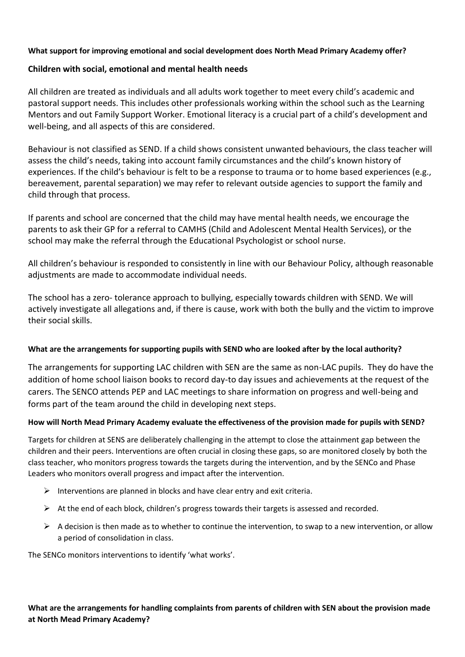## **What support for improving emotional and social development does North Mead Primary Academy offer?**

## **Children with social, emotional and mental health needs**

All children are treated as individuals and all adults work together to meet every child's academic and pastoral support needs. This includes other professionals working within the school such as the Learning Mentors and out Family Support Worker. Emotional literacy is a crucial part of a child's development and well-being, and all aspects of this are considered.

Behaviour is not classified as SEND. If a child shows consistent unwanted behaviours, the class teacher will assess the child's needs, taking into account family circumstances and the child's known history of experiences. If the child's behaviour is felt to be a response to trauma or to home based experiences (e.g., bereavement, parental separation) we may refer to relevant outside agencies to support the family and child through that process.

If parents and school are concerned that the child may have mental health needs, we encourage the parents to ask their GP for a referral to CAMHS (Child and Adolescent Mental Health Services), or the school may make the referral through the Educational Psychologist or school nurse.

All children's behaviour is responded to consistently in line with our Behaviour Policy, although reasonable adjustments are made to accommodate individual needs.

The school has a zero- tolerance approach to bullying, especially towards children with SEND. We will actively investigate all allegations and, if there is cause, work with both the bully and the victim to improve their social skills.

### **What are the arrangements for supporting pupils with SEND who are looked after by the local authority?**

The arrangements for supporting LAC children with SEN are the same as non-LAC pupils. They do have the addition of home school liaison books to record day-to day issues and achievements at the request of the carers. The SENCO attends PEP and LAC meetings to share information on progress and well-being and forms part of the team around the child in developing next steps.

### **How will North Mead Primary Academy evaluate the effectiveness of the provision made for pupils with SEND?**

Targets for children at SENS are deliberately challenging in the attempt to close the attainment gap between the children and their peers. Interventions are often crucial in closing these gaps, so are monitored closely by both the class teacher, who monitors progress towards the targets during the intervention, and by the SENCo and Phase Leaders who monitors overall progress and impact after the intervention.

- $\triangleright$  Interventions are planned in blocks and have clear entry and exit criteria.
- $\triangleright$  At the end of each block, children's progress towards their targets is assessed and recorded.
- $\triangleright$  A decision is then made as to whether to continue the intervention, to swap to a new intervention, or allow a period of consolidation in class.

The SENCo monitors interventions to identify 'what works'.